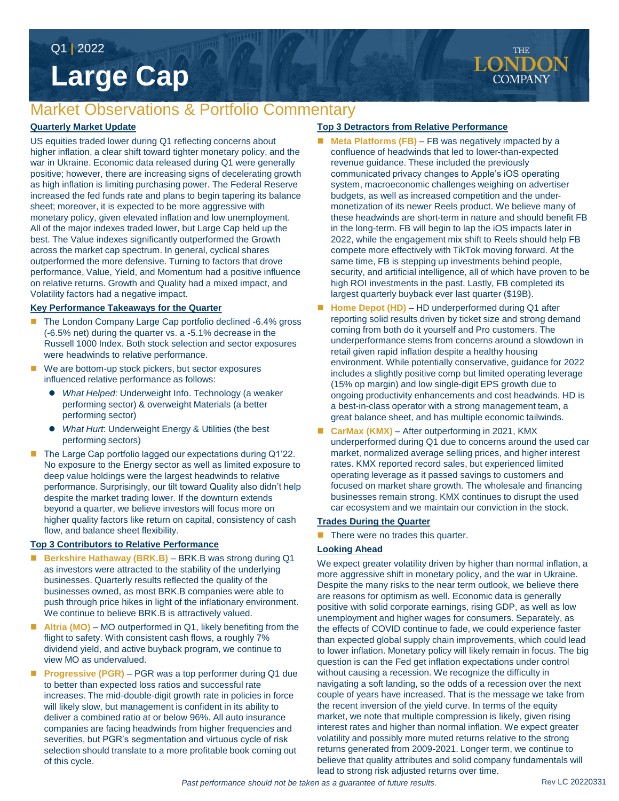Q1 **|** 2022

# **Large Cap**

## Market Observations & Portfolio Commentary

#### **Quarterly Market Update**

US equities traded lower during Q1 reflecting concerns about higher inflation, a clear shift toward tighter monetary policy, and the war in Ukraine. Economic data released during Q1 were generally positive; however, there are increasing signs of decelerating growth as high inflation is limiting purchasing power. The Federal Reserve increased the fed funds rate and plans to begin tapering its balance sheet; moreover, it is expected to be more aggressive with monetary policy, given elevated inflation and low unemployment. All of the major indexes traded lower, but Large Cap held up the best. The Value indexes significantly outperformed the Growth across the market cap spectrum. In general, cyclical shares outperformed the more defensive. Turning to factors that drove performance, Value, Yield, and Momentum had a positive influence on relative returns. Growth and Quality had a mixed impact, and Volatility factors had a negative impact.

#### **Key Performance Takeaways for the Quarter**

- The London Company Large Cap portfolio declined -6.4% gross (-6.5% net) during the quarter vs. a -5.1% decrease in the Russell 1000 Index. Both stock selection and sector exposures were headwinds to relative performance.
- We are bottom-up stock pickers, but sector exposures influenced relative performance as follows:
	- *What Helped*: Underweight Info. Technology (a weaker performing sector) & overweight Materials (a better performing sector)
	- *What Hurt*: Underweight Energy & Utilities (the best performing sectors)
- The Large Cap portfolio lagged our expectations during Q1'22. No exposure to the Energy sector as well as limited exposure to deep value holdings were the largest headwinds to relative performance. Surprisingly, our tilt toward Quality also didn't help despite the market trading lower. If the downturn extends beyond a quarter, we believe investors will focus more on higher quality factors like return on capital, consistency of cash flow, and balance sheet flexibility.

#### **Top 3 Contributors to Relative Performance**

- **Berkshire Hathaway (BRK.B)**  BRK.B was strong during Q1 as investors were attracted to the stability of the underlying businesses. Quarterly results reflected the quality of the businesses owned, as most BRK.B companies were able to push through price hikes in light of the inflationary environment. We continue to believe BRK.B is attractively valued.
- Altria (MO) MO outperformed in Q1, likely benefiting from the flight to safety. With consistent cash flows, a roughly 7% dividend yield, and active buyback program, we continue to view MO as undervalued.
- Progressive (PGR) PGR was a top performer during Q1 due to better than expected loss ratios and successful rate increases. The mid-double-digit growth rate in policies in force will likely slow, but management is confident in its ability to deliver a combined ratio at or below 96%. All auto insurance companies are facing headwinds from higher frequencies and severities, but PGR's segmentation and virtuous cycle of risk selection should translate to a more profitable book coming out of this cycle.

#### **Top 3 Detractors from Relative Performance**

- **Meta Platforms (FB)** FB was negatively impacted by a confluence of headwinds that led to lower-than-expected revenue guidance. These included the previously communicated privacy changes to Apple's iOS operating system, macroeconomic challenges weighing on advertiser budgets, as well as increased competition and the undermonetization of its newer Reels product. We believe many of these headwinds are short-term in nature and should benefit FB in the long-term. FB will begin to lap the iOS impacts later in 2022, while the engagement mix shift to Reels should help FB compete more effectively with TikTok moving forward. At the same time, FB is stepping up investments behind people, security, and artificial intelligence, all of which have proven to be high ROI investments in the past. Lastly, FB completed its largest quarterly buyback ever last quarter (\$19B).
- Home Depot (HD) HD underperformed during Q1 after reporting solid results driven by ticket size and strong demand coming from both do it yourself and Pro customers. The underperformance stems from concerns around a slowdown in retail given rapid inflation despite a healthy housing environment. While potentially conservative, guidance for 2022 includes a slightly positive comp but limited operating leverage (15% op margin) and low single-digit EPS growth due to ongoing productivity enhancements and cost headwinds. HD is a best-in-class operator with a strong management team, a great balance sheet, and has multiple economic tailwinds.
- CarMax (KMX) After outperforming in 2021, KMX underperformed during Q1 due to concerns around the used car market, normalized average selling prices, and higher interest rates. KMX reported record sales, but experienced limited operating leverage as it passed savings to customers and focused on market share growth. The wholesale and financing businesses remain strong. KMX continues to disrupt the used car ecosystem and we maintain our conviction in the stock.

#### **Trades During the Quarter**

 $\blacksquare$  There were no trades this quarter.

#### **Looking Ahead**

We expect greater volatility driven by higher than normal inflation, a more aggressive shift in monetary policy, and the war in Ukraine. Despite the many risks to the near term outlook, we believe there are reasons for optimism as well. Economic data is generally positive with solid corporate earnings, rising GDP, as well as low unemployment and higher wages for consumers. Separately, as the effects of COVID continue to fade, we could experience faster than expected global supply chain improvements, which could lead to lower inflation. Monetary policy will likely remain in focus. The big question is can the Fed get inflation expectations under control without causing a recession. We recognize the difficulty in navigating a soft landing, so the odds of a recession over the next couple of years have increased. That is the message we take from the recent inversion of the yield curve. In terms of the equity market, we note that multiple compression is likely, given rising interest rates and higher than normal inflation. We expect greater volatility and possibly more muted returns relative to the strong returns generated from 2009-2021. Longer term, we continue to believe that quality attributes and solid company fundamentals will lead to strong risk adjusted returns over time.